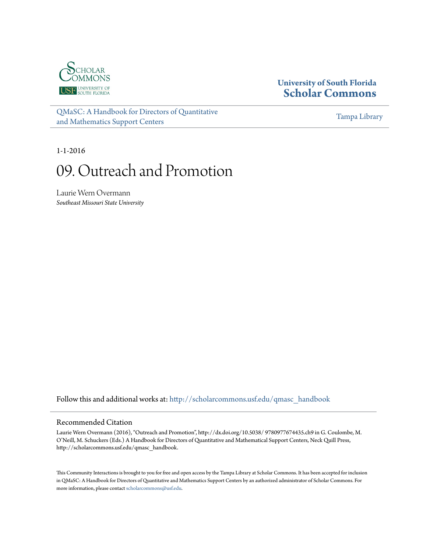

## **University of South Florida [Scholar Commons](http://scholarcommons.usf.edu?utm_source=scholarcommons.usf.edu%2Fqmasc_handbook%2F9&utm_medium=PDF&utm_campaign=PDFCoverPages)**

[QMaSC: A Handbook for Directors of Quantitative](http://scholarcommons.usf.edu/qmasc_handbook?utm_source=scholarcommons.usf.edu%2Fqmasc_handbook%2F9&utm_medium=PDF&utm_campaign=PDFCoverPages) [and Mathematics Support Centers](http://scholarcommons.usf.edu/qmasc_handbook?utm_source=scholarcommons.usf.edu%2Fqmasc_handbook%2F9&utm_medium=PDF&utm_campaign=PDFCoverPages)

[Tampa Library](http://scholarcommons.usf.edu/tlib?utm_source=scholarcommons.usf.edu%2Fqmasc_handbook%2F9&utm_medium=PDF&utm_campaign=PDFCoverPages)

1-1-2016

# 09. Outreach and Promotion

Laurie Wern Overmann *Southeast Missouri State University*

Follow this and additional works at: [http://scholarcommons.usf.edu/qmasc\\_handbook](http://scholarcommons.usf.edu/qmasc_handbook?utm_source=scholarcommons.usf.edu%2Fqmasc_handbook%2F9&utm_medium=PDF&utm_campaign=PDFCoverPages)

#### Recommended Citation

Laurie Wern Overmann (2016), "Outreach and Promotion", http://dx.doi.org/10.5038/ 9780977674435.ch9 in G. Coulombe, M. O'Neill, M. Schuckers (Eds.) A Handbook for Directors of Quantitative and Mathematical Support Centers, Neck Quill Press, http://scholarcommons.usf.edu/qmasc\_handbook.

This Community Interactions is brought to you for free and open access by the Tampa Library at Scholar Commons. It has been accepted for inclusion in QMaSC: A Handbook for Directors of Quantitative and Mathematics Support Centers by an authorized administrator of Scholar Commons. For more information, please contact [scholarcommons@usf.edu](mailto:scholarcommons@usf.edu).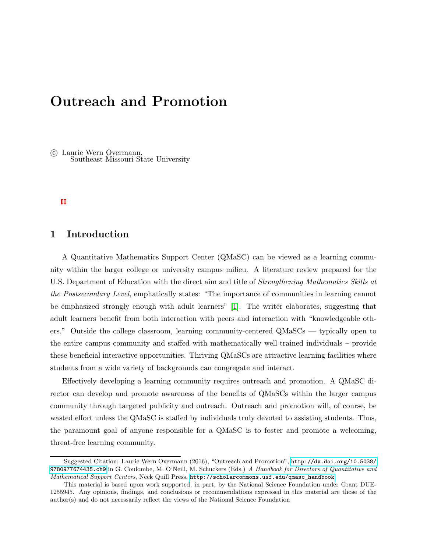# Outreach and Promotion

 c Laurie Wern Overmann, Southeast Missouri State University

#### 1 Introduction

A Quantitative Mathematics Support Center (QMaSC) can be viewed as a learning community within the larger college or university campus milieu. A literature review prepared for the U.S. Department of Education with the direct aim and title of *Strengthening Mathematics Skills at* the Postsecondary Level, emphatically states: "The importance of communities in learning cannot be emphasized strongly enough with adult learners" [1]. The writer elaborates, suggesting that adult learners benefit from both interaction with peers and interaction with "knowledgeable others." Outside the college classroom, learning community-centered QMaSCs — typically open to the entire campus community and staffed with mathematically well-trained individuals – provide these beneficial interactive opportunities. Thriving QMaSCs are attractive learning facilities where students from a wide variety of backgrounds can congregate and interact.

Effectively developing a learning community requires outreach and promotion. A QMaSC director can develop and promote awareness of the benefits of QMaSCs within the larger campus community through targeted publicity and outreach. Outreach and promotion will, of course, be wasted effort unless the QMaSC is staffed by individuals truly devoted to assisting students. Thus, the paramount goal of anyone responsible for a QMaSC is to foster and promote a welcoming, threat-free learning community.

Suggested Citation: Laurie Wern Overmann (2016), "Outreach and Promotion", [http://dx.doi.org/10.5038/](http://dx.doi.org/10.5038/9780977674435.ch9) [9780977674435.ch9](http://dx.doi.org/10.5038/9780977674435.ch9) in G. Coulombe, M. O'Neill, M. Schuckers (Eds.) A Handbook for Directors of Quantitative and Mathematical Support Centers, Neck Quill Press, [http://scholarcommons.usf.edu/qmasc\\_handbook](http://scholarcommons.usf.edu/qmasc_handbook).

This material is based upon work supported, in part, by the National Science Foundation under Grant DUE-1255945. Any opinions, findings, and conclusions or recommendations expressed in this material are those of the author(s) and do not necessarily reflect the views of the National Science Foundation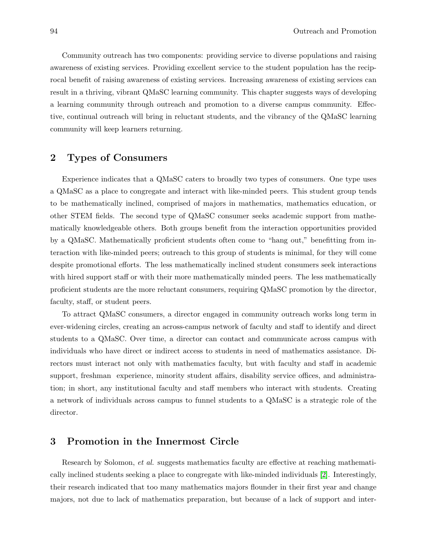Community outreach has two components: providing service to diverse populations and raising awareness of existing services. Providing excellent service to the student population has the reciprocal benefit of raising awareness of existing services. Increasing awareness of existing services can result in a thriving, vibrant QMaSC learning community. This chapter suggests ways of developing a learning community through outreach and promotion to a diverse campus community. Effective, continual outreach will bring in reluctant students, and the vibrancy of the QMaSC learning community will keep learners returning.

## 2 Types of Consumers

Experience indicates that a QMaSC caters to broadly two types of consumers. One type uses a QMaSC as a place to congregate and interact with like-minded peers. This student group tends to be mathematically inclined, comprised of majors in mathematics, mathematics education, or other STEM fields. The second type of QMaSC consumer seeks academic support from mathematically knowledgeable others. Both groups benefit from the interaction opportunities provided by a QMaSC. Mathematically proficient students often come to "hang out," benefitting from interaction with like-minded peers; outreach to this group of students is minimal, for they will come despite promotional efforts. The less mathematically inclined student consumers seek interactions with hired support staff or with their more mathematically minded peers. The less mathematically proficient students are the more reluctant consumers, requiring QMaSC promotion by the director, faculty, staff, or student peers.

To attract QMaSC consumers, a director engaged in community outreach works long term in ever-widening circles, creating an across-campus network of faculty and staff to identify and direct students to a QMaSC. Over time, a director can contact and communicate across campus with individuals who have direct or indirect access to students in need of mathematics assistance. Directors must interact not only with mathematics faculty, but with faculty and staff in academic support, freshman experience, minority student affairs, disability service offices, and administration; in short, any institutional faculty and staff members who interact with students. Creating a network of individuals across campus to funnel students to a QMaSC is a strategic role of the director.

#### 3 Promotion in the Innermost Circle

Research by Solomon, *et al.* suggests mathematics faculty are effective at reaching mathematically inclined students seeking a place to congregate with like-minded individuals [2]. Interestingly, their research indicated that too many mathematics majors flounder in their first year and change majors, not due to lack of mathematics preparation, but because of a lack of support and inter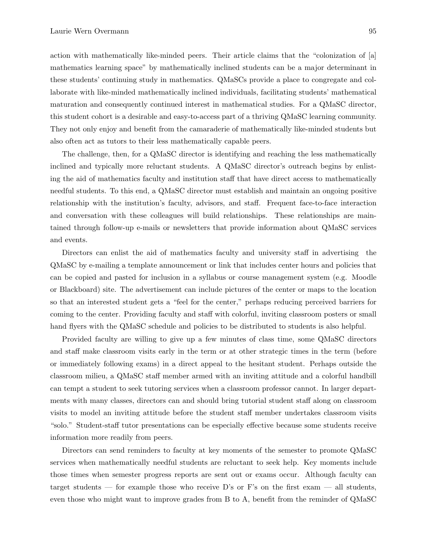action with mathematically like-minded peers. Their article claims that the "colonization of [a] mathematics learning space" by mathematically inclined students can be a major determinant in these students' continuing study in mathematics. QMaSCs provide a place to congregate and collaborate with like-minded mathematically inclined individuals, facilitating students' mathematical maturation and consequently continued interest in mathematical studies. For a QMaSC director, this student cohort is a desirable and easy-to-access part of a thriving QMaSC learning community. They not only enjoy and benefit from the camaraderie of mathematically like-minded students but also often act as tutors to their less mathematically capable peers.

The challenge, then, for a QMaSC director is identifying and reaching the less mathematically inclined and typically more reluctant students. A QMaSC director's outreach begins by enlisting the aid of mathematics faculty and institution staff that have direct access to mathematically needful students. To this end, a QMaSC director must establish and maintain an ongoing positive relationship with the institution's faculty, advisors, and staff. Frequent face-to-face interaction and conversation with these colleagues will build relationships. These relationships are maintained through follow-up e-mails or newsletters that provide information about QMaSC services and events.

Directors can enlist the aid of mathematics faculty and university staff in advertising the QMaSC by e-mailing a template announcement or link that includes center hours and policies that can be copied and pasted for inclusion in a syllabus or course management system (e.g. Moodle or Blackboard) site. The advertisement can include pictures of the center or maps to the location so that an interested student gets a "feel for the center," perhaps reducing perceived barriers for coming to the center. Providing faculty and staff with colorful, inviting classroom posters or small hand flyers with the QMaSC schedule and policies to be distributed to students is also helpful.

Provided faculty are willing to give up a few minutes of class time, some QMaSC directors and staff make classroom visits early in the term or at other strategic times in the term (before or immediately following exams) in a direct appeal to the hesitant student. Perhaps outside the classroom milieu, a QMaSC staff member armed with an inviting attitude and a colorful handbill can tempt a student to seek tutoring services when a classroom professor cannot. In larger departments with many classes, directors can and should bring tutorial student staff along on classroom visits to model an inviting attitude before the student staff member undertakes classroom visits "solo." Student-staff tutor presentations can be especially effective because some students receive information more readily from peers.

Directors can send reminders to faculty at key moments of the semester to promote QMaSC services when mathematically needful students are reluctant to seek help. Key moments include those times when semester progress reports are sent out or exams occur. Although faculty can target students — for example those who receive D's or F's on the first exam — all students, even those who might want to improve grades from B to A, benefit from the reminder of QMaSC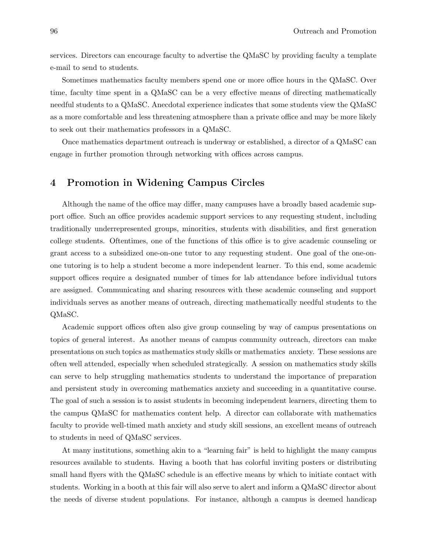services. Directors can encourage faculty to advertise the QMaSC by providing faculty a template e-mail to send to students.

Sometimes mathematics faculty members spend one or more office hours in the QMaSC. Over time, faculty time spent in a QMaSC can be a very effective means of directing mathematically needful students to a QMaSC. Anecdotal experience indicates that some students view the QMaSC as a more comfortable and less threatening atmosphere than a private office and may be more likely to seek out their mathematics professors in a QMaSC.

Once mathematics department outreach is underway or established, a director of a QMaSC can engage in further promotion through networking with offices across campus.

#### 4 Promotion in Widening Campus Circles

Although the name of the office may differ, many campuses have a broadly based academic support office. Such an office provides academic support services to any requesting student, including traditionally underrepresented groups, minorities, students with disabilities, and first generation college students. Oftentimes, one of the functions of this office is to give academic counseling or grant access to a subsidized one-on-one tutor to any requesting student. One goal of the one-onone tutoring is to help a student become a more independent learner. To this end, some academic support offices require a designated number of times for lab attendance before individual tutors are assigned. Communicating and sharing resources with these academic counseling and support individuals serves as another means of outreach, directing mathematically needful students to the QMaSC.

Academic support offices often also give group counseling by way of campus presentations on topics of general interest. As another means of campus community outreach, directors can make presentations on such topics as mathematics study skills or mathematics anxiety. These sessions are often well attended, especially when scheduled strategically. A session on mathematics study skills can serve to help struggling mathematics students to understand the importance of preparation and persistent study in overcoming mathematics anxiety and succeeding in a quantitative course. The goal of such a session is to assist students in becoming independent learners, directing them to the campus QMaSC for mathematics content help. A director can collaborate with mathematics faculty to provide well-timed math anxiety and study skill sessions, an excellent means of outreach to students in need of QMaSC services.

At many institutions, something akin to a "learning fair" is held to highlight the many campus resources available to students. Having a booth that has colorful inviting posters or distributing small hand flyers with the QMaSC schedule is an effective means by which to initiate contact with students. Working in a booth at this fair will also serve to alert and inform a QMaSC director about the needs of diverse student populations. For instance, although a campus is deemed handicap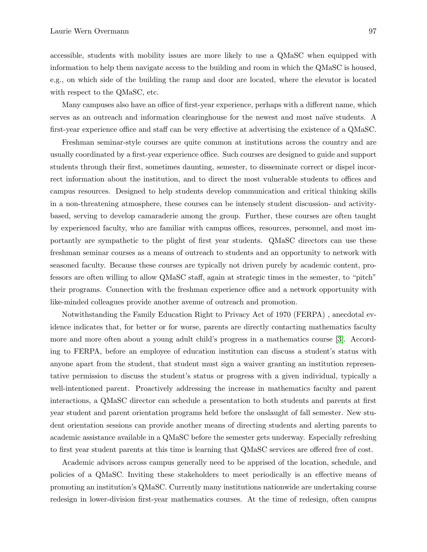accessible, students with mobility issues are more likely to use a QMaSC when equipped with information to help them navigate access to the building and room in which the QMaSC is housed, e.g., on which side of the building the ramp and door are located, where the elevator is located with respect to the QMaSC, etc.

Many campuses also have an office of first-year experience, perhaps with a different name, which serves as an outreach and information clearinghouse for the newest and most naïve students. A first-year experience office and staff can be very effective at advertising the existence of a QMaSC.

Freshman seminar-style courses are quite common at institutions across the country and are usually coordinated by a first-year experience office. Such courses are designed to guide and support students through their first, sometimes daunting, semester, to disseminate correct or dispel incorrect information about the institution, and to direct the most vulnerable students to offices and campus resources. Designed to help students develop communication and critical thinking skills in a non-threatening atmosphere, these courses can be intensely student discussion- and activitybased, serving to develop camaraderie among the group. Further, these courses are often taught by experienced faculty, who are familiar with campus offices, resources, personnel, and most importantly are sympathetic to the plight of first year students. QMaSC directors can use these freshman seminar courses as a means of outreach to students and an opportunity to network with seasoned faculty. Because these courses are typically not driven purely by academic content, professors are often willing to allow QMaSC staff, again at strategic times in the semester, to "pitch" their programs. Connection with the freshman experience office and a network opportunity with like-minded colleagues provide another avenue of outreach and promotion.

Notwithstanding the Family Education Right to Privacy Act of 1970 (FERPA) , anecdotal evidence indicates that, for better or for worse, parents are directly contacting mathematics faculty more and more often about a young adult child's progress in a mathematics course [3]. According to FERPA, before an employee of education institution can discuss a student's status with anyone apart from the student, that student must sign a waiver granting an institution representative permission to discuss the student's status or progress with a given individual, typically a well-intentioned parent. Proactively addressing the increase in mathematics faculty and parent interactions, a QMaSC director can schedule a presentation to both students and parents at first year student and parent orientation programs held before the onslaught of fall semester. New student orientation sessions can provide another means of directing students and alerting parents to academic assistance available in a QMaSC before the semester gets underway. Especially refreshing to first year student parents at this time is learning that QMaSC services are offered free of cost.

Academic advisors across campus generally need to be apprised of the location, schedule, and policies of a QMaSC. Inviting these stakeholders to meet periodically is an effective means of promoting an institution's QMaSC. Currently many institutions nationwide are undertaking course redesign in lower-division first-year mathematics courses. At the time of redesign, often campus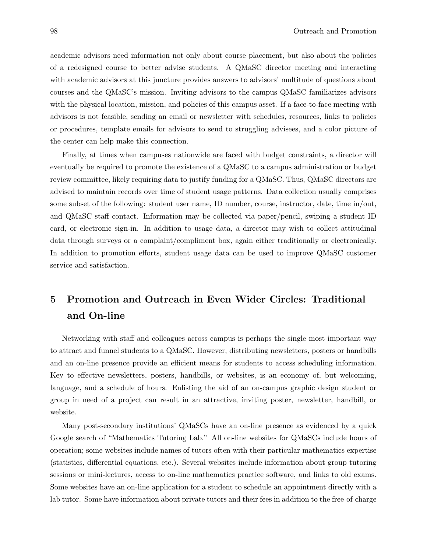academic advisors need information not only about course placement, but also about the policies of a redesigned course to better advise students. A QMaSC director meeting and interacting with academic advisors at this juncture provides answers to advisors' multitude of questions about courses and the QMaSC's mission. Inviting advisors to the campus QMaSC familiarizes advisors with the physical location, mission, and policies of this campus asset. If a face-to-face meeting with advisors is not feasible, sending an email or newsletter with schedules, resources, links to policies or procedures, template emails for advisors to send to struggling advisees, and a color picture of the center can help make this connection.

Finally, at times when campuses nationwide are faced with budget constraints, a director will eventually be required to promote the existence of a QMaSC to a campus administration or budget review committee, likely requiring data to justify funding for a QMaSC. Thus, QMaSC directors are advised to maintain records over time of student usage patterns. Data collection usually comprises some subset of the following: student user name, ID number, course, instructor, date, time in/out, and QMaSC staff contact. Information may be collected via paper/pencil, swiping a student ID card, or electronic sign-in. In addition to usage data, a director may wish to collect attitudinal data through surveys or a complaint/compliment box, again either traditionally or electronically. In addition to promotion efforts, student usage data can be used to improve QMaSC customer service and satisfaction.

## 5 Promotion and Outreach in Even Wider Circles: Traditional and On-line

Networking with staff and colleagues across campus is perhaps the single most important way to attract and funnel students to a QMaSC. However, distributing newsletters, posters or handbills and an on-line presence provide an efficient means for students to access scheduling information. Key to effective newsletters, posters, handbills, or websites, is an economy of, but welcoming, language, and a schedule of hours. Enlisting the aid of an on-campus graphic design student or group in need of a project can result in an attractive, inviting poster, newsletter, handbill, or website.

Many post-secondary institutions' QMaSCs have an on-line presence as evidenced by a quick Google search of "Mathematics Tutoring Lab." All on-line websites for QMaSCs include hours of operation; some websites include names of tutors often with their particular mathematics expertise (statistics, differential equations, etc.). Several websites include information about group tutoring sessions or mini-lectures, access to on-line mathematics practice software, and links to old exams. Some websites have an on-line application for a student to schedule an appointment directly with a lab tutor. Some have information about private tutors and their fees in addition to the free-of-charge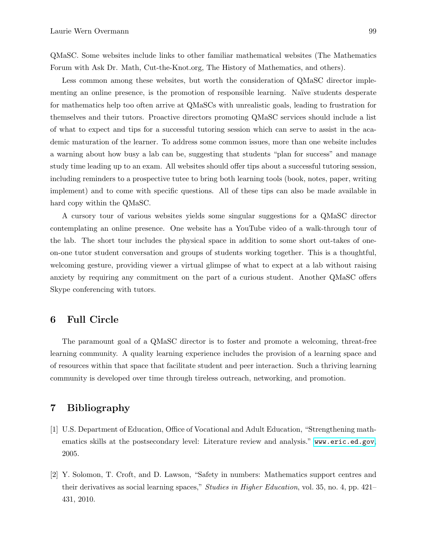QMaSC. Some websites include links to other familiar mathematical websites (The Mathematics Forum with Ask Dr. Math, Cut-the-Knot.org, The History of Mathematics, and others).

Less common among these websites, but worth the consideration of QMaSC director implementing an online presence, is the promotion of responsible learning. Naïve students desperate for mathematics help too often arrive at QMaSCs with unrealistic goals, leading to frustration for themselves and their tutors. Proactive directors promoting QMaSC services should include a list of what to expect and tips for a successful tutoring session which can serve to assist in the academic maturation of the learner. To address some common issues, more than one website includes a warning about how busy a lab can be, suggesting that students "plan for success" and manage study time leading up to an exam. All websites should offer tips about a successful tutoring session, including reminders to a prospective tutee to bring both learning tools (book, notes, paper, writing implement) and to come with specific questions. All of these tips can also be made available in hard copy within the QMaSC.

A cursory tour of various websites yields some singular suggestions for a QMaSC director contemplating an online presence. One website has a YouTube video of a walk-through tour of the lab. The short tour includes the physical space in addition to some short out-takes of oneon-one tutor student conversation and groups of students working together. This is a thoughtful, welcoming gesture, providing viewer a virtual glimpse of what to expect at a lab without raising anxiety by requiring any commitment on the part of a curious student. Another QMaSC offers Skype conferencing with tutors.

#### 6 Full Circle

The paramount goal of a QMaSC director is to foster and promote a welcoming, threat-free learning community. A quality learning experience includes the provision of a learning space and of resources within that space that facilitate student and peer interaction. Such a thriving learning community is developed over time through tireless outreach, networking, and promotion.

#### 7 Bibliography

- [1] U.S. Department of Education, Office of Vocational and Adult Education, "Strengthening mathematics skills at the postsecondary level: Literature review and analysis." <www.eric.ed.gov>, 2005.
- [2] Y. Solomon, T. Croft, and D. Lawson, "Safety in numbers: Mathematics support centres and their derivatives as social learning spaces," Studies in Higher Education, vol. 35, no. 4, pp. 421– 431, 2010.